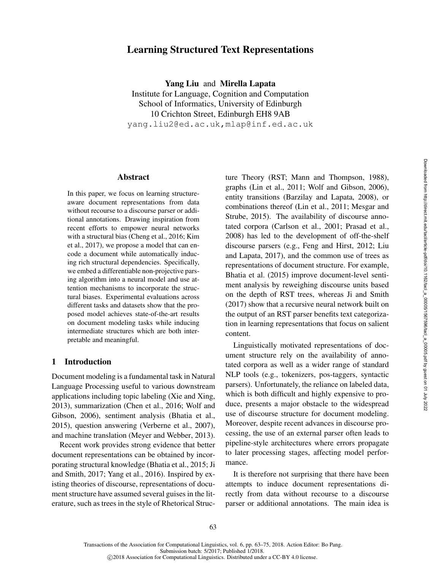# Learning Structured Text Representations

Yang Liu and Mirella Lapata Institute for Language, Cognition and Computation School of Informatics, University of Edinburgh 10 Crichton Street, Edinburgh EH8 9AB yang.liu2@ed.ac.uk,mlap@inf.ed.ac.uk

### Abstract

In this paper, we focus on learning structureaware document representations from data without recourse to a discourse parser or additional annotations. Drawing inspiration from recent efforts to empower neural networks with a structural bias (Cheng et al., 2016; Kim et al., 2017), we propose a model that can encode a document while automatically inducing rich structural dependencies. Specifically, we embed a differentiable non-projective parsing algorithm into a neural model and use attention mechanisms to incorporate the structural biases. Experimental evaluations across different tasks and datasets show that the proposed model achieves state-of-the-art results on document modeling tasks while inducing intermediate structures which are both interpretable and meaningful.

# 1 Introduction

Document modeling is a fundamental task in Natural Language Processing useful to various downstream applications including topic labeling (Xie and Xing, 2013), summarization (Chen et al., 2016; Wolf and Gibson, 2006), sentiment analysis (Bhatia et al., 2015), question answering (Verberne et al., 2007), and machine translation (Meyer and Webber, 2013).

Recent work provides strong evidence that better document representations can be obtained by incorporating structural knowledge (Bhatia et al., 2015; Ji and Smith, 2017; Yang et al., 2016). Inspired by existing theories of discourse, representations of document structure have assumed several guises in the literature, such as trees in the style of Rhetorical Structure Theory (RST; Mann and Thompson, 1988), graphs (Lin et al., 2011; Wolf and Gibson, 2006), entity transitions (Barzilay and Lapata, 2008), or combinations thereof (Lin et al., 2011; Mesgar and Strube, 2015). The availability of discourse annotated corpora (Carlson et al., 2001; Prasad et al., 2008) has led to the development of off-the-shelf discourse parsers (e.g., Feng and Hirst, 2012; Liu and Lapata, 2017), and the common use of trees as representations of document structure. For example, Bhatia et al. (2015) improve document-level sentiment analysis by reweighing discourse units based on the depth of RST trees, whereas Ji and Smith (2017) show that a recursive neural network built on the output of an RST parser benefits text categorization in learning representations that focus on salient content.

Linguistically motivated representations of document structure rely on the availability of annotated corpora as well as a wider range of standard NLP tools (e.g., tokenizers, pos-taggers, syntactic parsers). Unfortunately, the reliance on labeled data, which is both difficult and highly expensive to produce, presents a major obstacle to the widespread use of discourse structure for document modeling. Moreover, despite recent advances in discourse processing, the use of an external parser often leads to pipeline-style architectures where errors propagate to later processing stages, affecting model performance.

It is therefore not surprising that there have been attempts to induce document representations directly from data without recourse to a discourse parser or additional annotations. The main idea is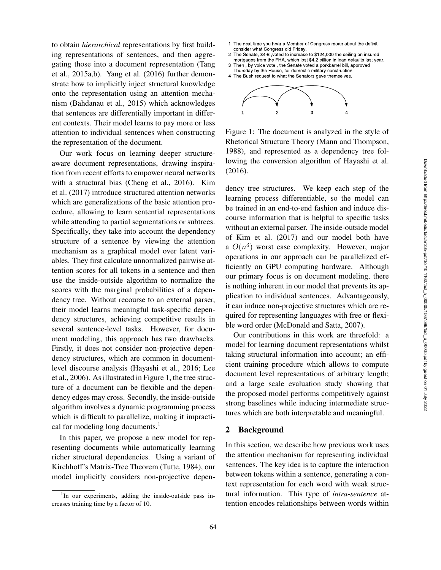to obtain *hierarchical* representations by first building representations of sentences, and then aggregating those into a document representation (Tang et al., 2015a,b). Yang et al. (2016) further demonstrate how to implicitly inject structural knowledge onto the representation using an attention mechanism (Bahdanau et al., 2015) which acknowledges that sentences are differentially important in different contexts. Their model learns to pay more or less attention to individual sentences when constructing the representation of the document.

Our work focus on learning deeper structureaware document representations, drawing inspiration from recent efforts to empower neural networks with a structural bias (Cheng et al., 2016). Kim et al. (2017) introduce structured attention networks which are generalizations of the basic attention procedure, allowing to learn sentential representations while attending to partial segmentations or subtrees. Specifically, they take into account the dependency structure of a sentence by viewing the attention mechanism as a graphical model over latent variables. They first calculate unnormalized pairwise attention scores for all tokens in a sentence and then use the inside-outside algorithm to normalize the scores with the marginal probabilities of a dependency tree. Without recourse to an external parser, their model learns meaningful task-specific dependency structures, achieving competitive results in several sentence-level tasks. However, for document modeling, this approach has two drawbacks. Firstly, it does not consider non-projective dependency structures, which are common in documentlevel discourse analysis (Hayashi et al., 2016; Lee et al., 2006). As illustrated in Figure 1, the tree structure of a document can be flexible and the dependency edges may cross. Secondly, the inside-outside algorithm involves a dynamic programming process which is difficult to parallelize, making it impractical for modeling long documents. $<sup>1</sup>$ </sup> to obtain the<br>ranchital representations by first huild-<br>in the next transfer and then aggre-<br> $z$  tries from the next trains of contenents, and then aggre-<br> $z$  tries from the contenent in the next time of the next time of

In this paper, we propose a new model for representing documents while automatically learning richer structural dependencies. Using a variant of Kirchhoff's Matrix-Tree Theorem (Tutte, 1984), our model implicitly considers non-projective depen-

- Member of Congress moan about the deficit,
- consider what Congress did Friday. 2 The Senate, 84-6 , voted to increase to \$124,000 the ceiling on insured
- mortgages from the FHA, which lost \$4.2 billion in loan defaults last year. 3 Then , by voice vote , the Senate voted a porkbarrel bill, approved
- Thursday by the House, for domestic military construction. 4 The Bush request to what the Senators gave themselves.



Figure 1: The document is analyzed in the style of Rhetorical Structure Theory (Mann and Thompson, 1988), and represented as a dependency tree following the conversion algorithm of Hayashi et al. (2016).

dency tree structures. We keep each step of the learning process differentiable, so the model can be trained in an end-to-end fashion and induce discourse information that is helpful to specific tasks without an external parser. The inside-outside model of Kim et al. (2017) and our model both have a  $O(n^3)$  worst case complexity. However, major operations in our approach can be parallelized efficiently on GPU computing hardware. Although our primary focus is on document modeling, there is nothing inherent in our model that prevents its application to individual sentences. Advantageously, it can induce non-projective structures which are required for representing languages with free or flexible word order (McDonald and Satta, 2007).

Our contributions in this work are threefold: a model for learning document representations whilst taking structural information into account; an efficient training procedure which allows to compute document level representations of arbitrary length; and a large scale evaluation study showing that the proposed model performs competitively against strong baselines while inducing intermediate structures which are both interpretable and meaningful.

## 2 Background

In this section, we describe how previous work uses the attention mechanism for representing individual sentences. The key idea is to capture the interaction between tokens within a sentence, generating a context representation for each word with weak structural information. This type of *intra-sentence* attention encodes relationships between words within

<sup>&</sup>lt;sup>1</sup>In our experiments, adding the inside-outside pass in-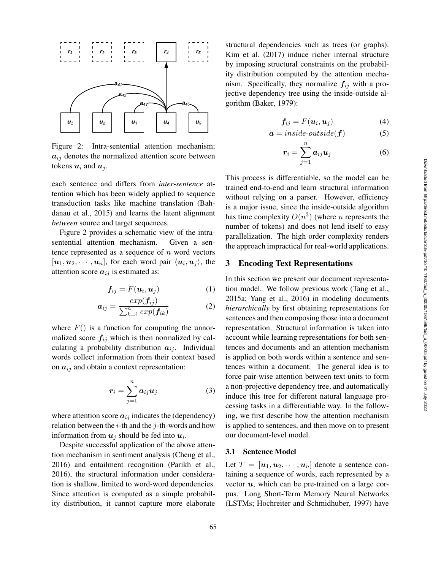

Figure 2: Intra-sentential attention mechanism;  $a_{ij}$  denotes the normalized attention score between tokens  $u_i$  and  $u_j$ .

each sentence and differs from *inter-sentence* attention which has been widely applied to sequence transduction tasks like machine translation (Bahdanau et al., 2015) and learns the latent alignment *between* source and target sequences.

Figure 2 provides a schematic view of the intrasentential attention mechanism. Given a sentence represented as a sequence of  $n$  word vectors  $[u_1, u_2, \cdots, u_n]$ , for each word pair  $\langle u_i, u_j \rangle$ , the attention score  $a_{ij}$  is estimated as:

$$
\mathbf{f}_{ij} = F(\mathbf{u}_i, \mathbf{u}_j) \tag{1}
$$

$$
a_{ij} = \frac{exp(\boldsymbol{f}_{ij})}{\sum_{k=1}^{n} exp(\boldsymbol{f}_{ik})}
$$
(2)

where  $F()$  is a function for computing the unnormalized score  $f_{ij}$  which is then normalized by calculating a probability distribution  $a_{ij}$ . Individual words collect information from their context based on  $a_{ij}$  and obtain a context representation:

$$
r_i = \sum_{j=1}^n a_{ij} u_j \tag{3}
$$

where attention score  $a_{ij}$  indicates the (dependency) relation between the  $i$ -th and the  $j$ -th-words and how information from  $u_j$  should be fed into  $u_i$ .

Despite successful application of the above attention mechanism in sentiment analysis (Cheng et al., 2016) and entailment recognition (Parikh et al., 2016), the structural information under consideration is shallow, limited to word-word dependencies. Since attention is computed as a simple probability distribution, it cannot capture more elaborate structural dependencies such as trees (or graphs). Kim et al. (2017) induce richer internal structure by imposing structural constraints on the probability distribution computed by the attention mechanism. Specifically, they normalize  $f_{ij}$  with a projective dependency tree using the inside-outside algorithm (Baker, 1979):

$$
\mathbf{f}_{ij} = F(\mathbf{u}_i, \mathbf{u}_j) \tag{4}
$$

$$
a = inside-outside(f) \tag{5}
$$

$$
\boldsymbol{r}_i = \sum_{j=1}^n \boldsymbol{a}_{ij} \boldsymbol{u}_j \tag{6}
$$

This process is differentiable, so the model can be trained end-to-end and learn structural information without relying on a parser. However, efficiency is a major issue, since the inside-outside algorithm has time complexity  $O(n^3)$  (where *n* represents the number of tokens) and does not lend itself to easy parallelization. The high order complexity renders the approach impractical for real-world applications.

### 3 Encoding Text Representations

In this section we present our document representation model. We follow previous work (Tang et al., 2015a; Yang et al., 2016) in modeling documents *hierarchically* by first obtaining representations for sentences and then composing those into a document representation. Structural information is taken into account while learning representations for both sentences and documents and an attention mechanism is applied on both words within a sentence and sentences within a document. The general idea is to force pair-wise attention between text units to form a non-projective dependency tree, and automatically induce this tree for different natural language processing tasks in a differentiable way. In the following, we first describe how the attention mechanism is applied to sentences, and then move on to present our document-level model.

### 3.1 Sentence Model

Let  $T = [\boldsymbol{u}_1, \boldsymbol{u}_2, \cdots, \boldsymbol{u}_n]$  denote a sentence containing a sequence of words, each represented by a vector  $u$ , which can be pre-trained on a large corpus. Long Short-Term Memory Neural Networks (LSTMs; Hochreiter and Schmidhuber, 1997) have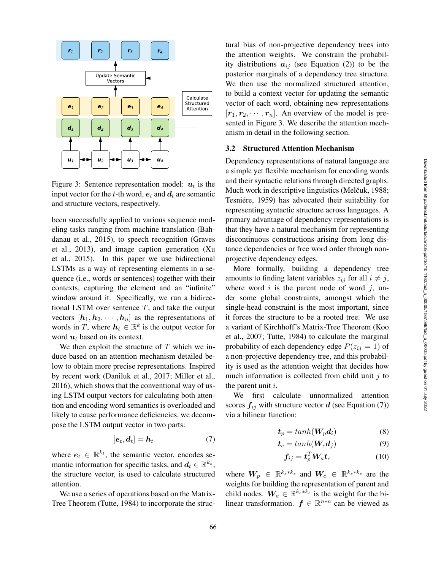

Figure 3: Sentence representation model:  $u_t$  is the input vector for the t-th word,  $e_t$  and  $d_t$  are semantic and structure vectors, respectively.

been successfully applied to various sequence modeling tasks ranging from machine translation (Bahdanau et al., 2015), to speech recognition (Graves et al., 2013), and image caption generation (Xu et al., 2015). In this paper we use bidirectional LSTMs as a way of representing elements in a sequence (i.e., words or sentences) together with their contexts, capturing the element and an "infinite" window around it. Specifically, we run a bidirectional LSTM over sentence  $T$ , and take the output vectors  $[h_1, h_2, \cdots, h_n]$  as the representations of words in T, where  $h_t \in \mathbb{R}^k$  is the output vector for word  $u_t$  based on its context.

We then exploit the structure of  $T$  which we induce based on an attention mechanism detailed below to obtain more precise representations. Inspired by recent work (Daniluk et al., 2017; Miller et al., 2016), which shows that the conventional way of using LSTM output vectors for calculating both attention and encoding word semantics is overloaded and likely to cause performance deficiencies, we decompose the LSTM output vector in two parts:

$$
[e_t, d_t] = h_t \tag{7}
$$

where  $e_t \in \mathbb{R}^{k_t}$ , the semantic vector, encodes semantic information for specific tasks, and  $d_t \in \mathbb{R}^{k_s}$ , the structure vector, is used to calculate structured attention.

We use a series of operations based on the Matrix-Tree Theorem (Tutte, 1984) to incorporate the structural bias of non-projective dependency trees into the attention weights. We constrain the probability distributions  $a_{ij}$  (see Equation (2)) to be the posterior marginals of a dependency tree structure. We then use the normalized structured attention, to build a context vector for updating the semantic vector of each word, obtaining new representations  $[r_1, r_2, \cdots, r_n]$ . An overview of the model is presented in Figure 3. We describe the attention mechanism in detail in the following section.

#### 3.2 Structured Attention Mechanism

Dependency representations of natural language are a simple yet flexible mechanism for encoding words and their syntactic relations through directed graphs. Much work in descriptive linguistics (Melčuk, 1988; Tesniére, 1959) has advocated their suitability for representing syntactic structure across languages. A primary advantage of dependency representations is that they have a natural mechanism for representing discontinuous constructions arising from long distance dependencies or free word order through nonprojective dependency edges.

More formally, building a dependency tree amounts to finding latent variables  $z_{ij}$  for all  $i \neq j$ , where word  $i$  is the parent node of word  $j$ , under some global constraints, amongst which the single-head constraint is the most important, since it forces the structure to be a rooted tree. We use a variant of Kirchhoff's Matrix-Tree Theorem (Koo et al., 2007; Tutte, 1984) to calculate the marginal probability of each dependency edge  $P(z_{ij} = 1)$  of a non-projective dependency tree, and this probability is used as the attention weight that decides how much information is collected from child unit  $j$  to the parent unit  $i$ .

We first calculate unnormalized attention scores  $f_{ij}$  with structure vector d (see Equation (7)) via a bilinear function:

$$
t_p = \tanh(W_p d_i) \tag{8}
$$

$$
t_c = tanh(\boldsymbol{W}_c \boldsymbol{d}_j) \tag{9}
$$

$$
f_{ij} = t_p^T W_a t_c \tag{10}
$$

where  $W_p \in \mathbb{R}^{k_s * k_s}$  and  $W_c \in \mathbb{R}^{k_s * k_s}$  are the weights for building the representation of parent and child nodes.  $W_a \in \mathbb{R}^{k_s * k_s}$  is the weight for the bilinear transformation.  $f \in \mathbb{R}^{n*n}$  can be viewed as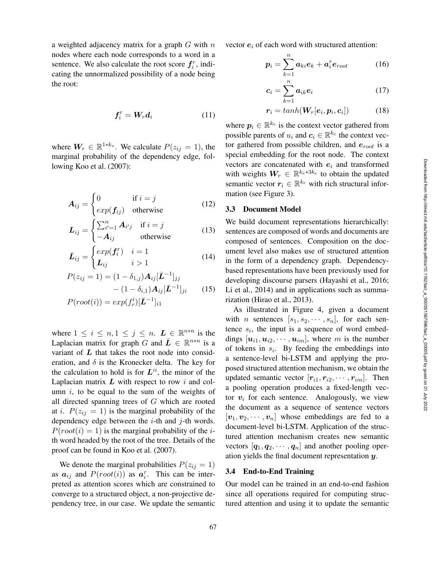a weighted adjacency matrix for a graph  $G$  with  $n$ nodes where each node corresponds to a word in a sentence. We also calculate the root score  $f_i^r$ , indicating the unnormalized possibility of a node being the root:

$$
\boldsymbol{f}_i^r = \boldsymbol{W}_r \boldsymbol{d}_i \tag{11}
$$

where  $W_r \in \mathbb{R}^{1*k_s}$ . We calculate  $P(z_{ij} = 1)$ , the marginal probability of the dependency edge, following Koo et al. (2007):

$$
\mathbf{A}_{ij} = \begin{cases} 0 & \text{if } i = j \\ exp(\mathbf{f}_{ij}) & \text{otherwise} \end{cases}
$$
 (12)

$$
L_{ij} = \begin{cases} \sum_{i'=1}^{n} A_{i'j} & \text{if } i = j \\ -A_{ij} & \text{otherwise} \end{cases}
$$
 (13)

$$
\bar{L}_{ij} = \begin{cases} exp(f_i^r) & i = 1 \\ L_{ij} & i > 1 \end{cases} \tag{14}
$$

$$
P(z_{ij} = 1) = (1 - \delta_{1,j}) A_{ij} [\bar{L}^{-1}]_{jj}
$$

$$
- (1 - \delta_{i,1}) A_{ij} [\bar{L}^{-1}]_{ji}
$$
(15)
$$
P(root(i)) = exp(f_r^i) [\bar{L}^{-1}]_{i1}
$$

where  $1 \leq i \leq n, 1 \leq j \leq n$ .  $\mathbf{L} \in \mathbb{R}^{n \times n}$  is the Laplacian matrix for graph G and  $\bar{L} \in \mathbb{R}^{n*n}$  is a variant of  $L$  that takes the root node into consideration, and  $\delta$  is the Kronecker delta. The key for the calculation to hold is for  $L^{ii}$ , the minor of the Laplacian matrix  $L$  with respect to row i and column  $i$ , to be equal to the sum of the weights of all directed spanning trees of G which are rooted at *i*.  $P(z_{ij} = 1)$  is the marginal probability of the dependency edge between the  $i$ -th and  $j$ -th words.  $P(root(i) = 1)$  is the marginal probability of the *i*th word headed by the root of the tree. Details of the proof can be found in Koo et al. (2007).

We denote the marginal probabilities  $P(z_{ij} = 1)$ as  $a_{ij}$  and  $P(root(i))$  as  $a_i^r$ . This can be interpreted as attention scores which are constrained to converge to a structured object, a non-projective dependency tree, in our case. We update the semantic vector  $e_i$  of each word with structured attention:

$$
\boldsymbol{p}_i = \sum_{k=1}^n \boldsymbol{a}_{ki} \boldsymbol{e}_k + \boldsymbol{a}_i^r \boldsymbol{e}_{root} \hspace{1cm} (16)
$$

$$
c_i = \sum_{k=1}^{n} a_{ik} e_i \tag{17}
$$

$$
r_i = \tanh(W_r[e_i, p_i, c_i]) \tag{18}
$$

where  $p_i \in \mathbb{R}^{k_e}$  is the context vector gathered from possible parents of  $u_i$  and  $c_i \in \mathbb{R}^{k_e}$  the context vector gathered from possible children, and  $e_{root}$  is a special embedding for the root node. The context vectors are concatenated with  $e_i$  and transformed with weights  $W_r \in \mathbb{R}^{k_e * 3k_e}$  to obtain the updated semantic vector  $r_i \in \mathbb{R}^{k_e}$  with rich structural information (see Figure 3).

#### 3.3 Document Model

We build document representations hierarchically: sentences are composed of words and documents are composed of sentences. Composition on the document level also makes use of structured attention in the form of a dependency graph. Dependencybased representations have been previously used for developing discourse parsers (Hayashi et al., 2016; Li et al., 2014) and in applications such as summarization (Hirao et al., 2013).

As illustrated in Figure 4, given a document with *n* sentences  $[s_1, s_2, \dots, s_n]$ , for each sentence  $s_i$ , the input is a sequence of word embeddings  $[u_{i1}, u_{i2}, \cdots, u_{im}]$ , where m is the number of tokens in  $s_i$ . By feeding the embeddings into a sentence-level bi-LSTM and applying the proposed structured attention mechanism, we obtain the updated semantic vector  $[r_{i1}, r_{i2}, \cdots, r_{im}]$ . Then a pooling operation produces a fixed-length vector  $v_i$  for each sentence. Analogously, we view the document as a sequence of sentence vectors  $[v_1, v_2, \cdots, v_n]$  whose embeddings are fed to a document-level bi-LSTM. Application of the structured attention mechanism creates new semantic vectors  $[q_1, q_2, \cdots, q_n]$  and another pooling operation yields the final document representation y.

### 3.4 End-to-End Training

Our model can be trained in an end-to-end fashion since all operations required for computing structured attention and using it to update the semantic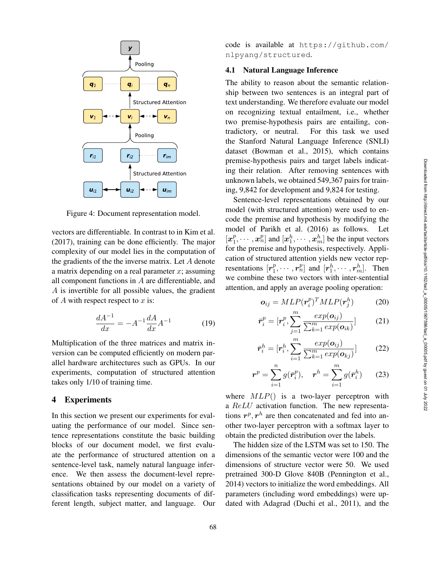

Figure 4: Document representation model.

vectors are differentiable. In contrast to in Kim et al. (2017), training can be done efficiently. The major complexity of our model lies in the computation of the gradients of the the inverse matrix. Let A denote a matrix depending on a real parameter  $x$ ; assuming all component functions in A are differentiable, and A is invertible for all possible values, the gradient of  $A$  with respect respect to  $x$  is:

$$
\frac{dA^{-1}}{dx} = -A^{-1}\frac{dA}{dx}A^{-1} \tag{19}
$$

Multiplication of the three matrices and matrix inversion can be computed efficiently on modern parallel hardware architectures such as GPUs. In our experiments, computation of structured attention takes only 1/10 of training time.

## 4 Experiments

In this section we present our experiments for evaluating the performance of our model. Since sentence representations constitute the basic building blocks of our document model, we first evaluate the performance of structured attention on a sentence-level task, namely natural language inference. We then assess the document-level representations obtained by our model on a variety of classification tasks representing documents of different length, subject matter, and language. Our

code is available at https://github.com/ nlpyang/structured .

### 4.1 Natural Language Inference

The ability to reason about the semantic relationship between two sentences is an integral part of text understanding. We therefore evaluate our model on recognizing textual entailment, i.e., whether two premise-hypothesis pairs are entailing, contradictory, or neutral. For this task we used the Stanford Natural Language Inference (SNLI) dataset (Bowman et al., 2015), which contains premise-hypothesis pairs and target labels indicating their relation. After removing sentences with unknown labels, we obtained 549,367 pairs for training, 9,842 for development and 9,824 for testing.

Sentence-level representations obtained by our model (with structured attention) were used to encode the premise and hypothesis by modifying the model of Parikh et al. (2016) as follows. Let  $[x_1^p, \cdots, x_n^p]$  and  $[x_1^h, \cdots, x_m^h]$  be the input vectors for the premise and hypothesis, respectively. Application of structured attention yields new vector representations  $[r_1^p, \cdots, r_n^p]$  and  $[r_1^h, \cdots, r_m^h]$ . Then we combine these two vectors with inter-sentential attention, and apply an average pooling operation:

$$
\boldsymbol{o}_{ij} = MLP(\boldsymbol{r}_i^p)^T MLP(\boldsymbol{r}_j^h)
$$
 (20)

$$
\bar{\boldsymbol{r}}_i^p = [\boldsymbol{r}_i^p, \sum_{j=1}^m \frac{exp(\boldsymbol{o}_{ij})}{\sum_{k=1}^m exp(\boldsymbol{o}_{ik})}]
$$
 (21)

$$
\bar{\boldsymbol{r}}_i^h = [\boldsymbol{r}_i^h, \sum_{i=1}^m \frac{exp(\boldsymbol{o}_{ij})}{\sum_{k=1}^m exp(\boldsymbol{o}_{kj})}]
$$
 (22)

$$
\boldsymbol{r}^p = \sum_{i=1}^n g(\bar{\boldsymbol{r}}_i^p), \quad \boldsymbol{r}^h = \sum_{i=1}^m g(\bar{\boldsymbol{r}}_i^h) \qquad (23)
$$

where  $MLP()$  is a two-layer perceptron with a ReLU activation function. The new representations  $r^p, r^h$  are then concatenated and fed into another two-layer perceptron with a softmax layer to obtain the predicted distribution over the labels.

The hidden size of the LSTM was set to 150. The dimensions of the semantic vector were 100 and the dimensions of structure vector were 50. We used pretrained 300-D Glove 840B (Pennington et al., 2014) vectors to initialize the word embeddings. All parameters (including word embeddings) were updated with Adagrad (Duchi et al., 2011), and the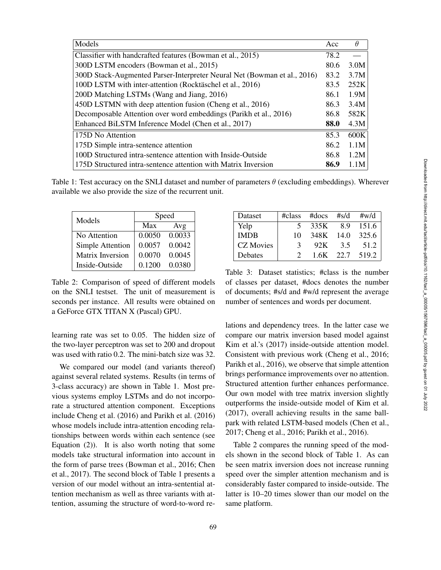| Models                                                                   | Acc  | $\theta$ |
|--------------------------------------------------------------------------|------|----------|
| Classifier with handcrafted features (Bowman et al., 2015)               | 78.2 |          |
| 300D LSTM encoders (Bowman et al., 2015)                                 | 80.6 | 3.0M     |
| 300D Stack-Augmented Parser-Interpreter Neural Net (Bowman et al., 2016) | 83.2 | 3.7M     |
| 100D LSTM with inter-attention (Rocktäschel et al., 2016)                | 83.5 | 252K     |
| 200D Matching LSTMs (Wang and Jiang, 2016)                               | 86.1 | 1.9M     |
| 450D LSTMN with deep attention fusion (Cheng et al., 2016)               | 86.3 | 3.4M     |
| Decomposable Attention over word embeddings (Parikh et al., 2016)        | 86.8 | 582K     |
| Enhanced BiLSTM Inference Model (Chen et al., 2017)                      | 88.0 | 4.3M     |
| 175D No Attention                                                        | 85.3 | 600K     |
| 175D Simple intra-sentence attention                                     | 86.2 | 1.1M     |
| 100D Structured intra-sentence attention with Inside-Outside             | 86.8 | 1.2M     |
| 175D Structured intra-sentence attention with Matrix Inversion           | 86.9 | 1.1M     |

Table 1: Test accuracy on the SNLI dataset and number of parameters  $\theta$  (excluding embeddings). Wherever available we also provide the size of the recurrent unit.

| Models                  | Speed  |        |  |
|-------------------------|--------|--------|--|
|                         | Max    | Avg    |  |
| No Attention            | 0.0050 | 0.0033 |  |
| Simple Attention        | 0.0057 | 0.0042 |  |
| <b>Matrix Inversion</b> | 0.0070 | 0.0045 |  |
| Inside-Outside          | 0.1200 | 0.0380 |  |

Table 2: Comparison of speed of different models on the SNLI testset. The unit of measurement is seconds per instance. All results were obtained on a GeForce GTX TITAN X (Pascal) GPU.

learning rate was set to 0.05. The hidden size of the two-layer perceptron was set to 200 and dropout was used with ratio 0.2. The mini-batch size was 32.

We compared our model (and variants thereof) against several related systems. Results (in terms of 3-class accuracy) are shown in Table 1. Most previous systems employ LSTMs and do not incorporate a structured attention component. Exceptions include Cheng et al. (2016) and Parikh et al. (2016) whose models include intra-attention encoding relationships between words within each sentence (see Equation (2)). It is also worth noting that some models take structural information into account in the form of parse trees (Bowman et al., 2016; Chen et al., 2017). The second block of Table 1 presents a version of our model without an intra-sentential attention mechanism as well as three variants with attention, assuming the structure of word-to-word re-

| Dataset          |               | $\#class$ #docs #s/d #w/d |     |                 |
|------------------|---------------|---------------------------|-----|-----------------|
| Yelp             | $\mathcal{F}$ | 335K 8.9 151.6            |     |                 |
| <b>IMDB</b>      | 10            | 348K 14.0 325.6           |     |                 |
| <b>CZ</b> Movies | 3             | 92K                       | 3.5 | 51.2            |
| Debates          | $\mathcal{D}$ |                           |     | 1.6K 22.7 519.2 |

Table 3: Dataset statistics; #class is the number of classes per dataset, #docs denotes the number of documents; #s/d and #w/d represent the average number of sentences and words per document.

lations and dependency trees. In the latter case we compare our matrix inversion based model against Kim et al.'s (2017) inside-outside attention model. Consistent with previous work (Cheng et al., 2016; Parikh et al., 2016), we observe that simple attention brings performance improvements over no attention. Structured attention further enhances performance. Our own model with tree matrix inversion slightly outperforms the inside-outside model of Kim et al. (2017), overall achieving results in the same ballpark with related LSTM-based models (Chen et al., 2017; Cheng et al., 2016; Parikh et al., 2016).

Table 2 compares the running speed of the models shown in the second block of Table 1. As can be seen matrix inversion does not increase running speed over the simpler attention mechanism and is considerably faster compared to inside-outside. The latter is 10–20 times slower than our model on the same platform.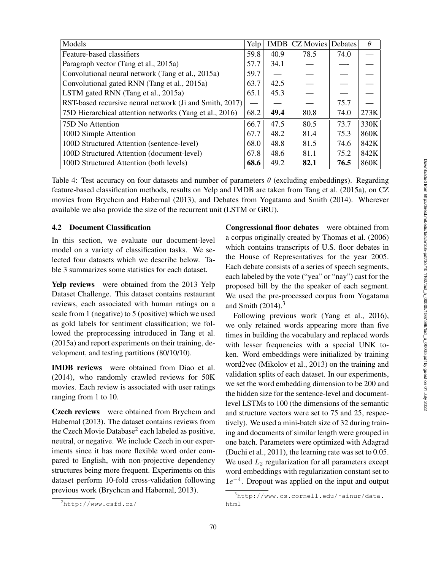| Models                                                  | Yelp | <b>IMDB</b> | CZ Movies Debates |      | $\theta$ |
|---------------------------------------------------------|------|-------------|-------------------|------|----------|
| Feature-based classifiers                               | 59.8 | 40.9        | 78.5              | 74.0 |          |
| Paragraph vector (Tang et al., 2015a)                   | 57.7 | 34.1        |                   |      |          |
| Convolutional neural network (Tang et al., 2015a)       |      |             |                   |      |          |
| Convolutional gated RNN (Tang et al., 2015a)            | 63.7 | 42.5        |                   |      |          |
| LSTM gated RNN (Tang et al., 2015a)                     | 65.1 | 45.3        |                   |      |          |
| RST-based recursive neural network (Ji and Smith, 2017) |      |             |                   | 75.7 |          |
| 75D Hierarchical attention networks (Yang et al., 2016) | 68.2 | 49.4        | 80.8              | 74.0 | 273K     |
| 75D No Attention                                        |      | 47.5        | 80.5              | 73.7 | 330K     |
| 100D Simple Attention                                   |      | 48.2        | 81.4              | 75.3 | 860K     |
| 100D Structured Attention (sentence-level)              |      | 48.8        | 81.5              | 74.6 | 842K     |
| 100D Structured Attention (document-level)              |      | 48.6        | 81.1              | 75.2 | 842K     |
| 100D Structured Attention (both levels)                 |      | 49.2        | 82.1              | 76.5 | 860K     |

Table 4: Test accuracy on four datasets and number of parameters  $\theta$  (excluding embeddings). Regarding feature-based classification methods, results on Yelp and IMDB are taken from Tang et al. (2015a), on CZ movies from Brychcın and Habernal (2013), and Debates from Yogatama and Smith (2014). Wherever available we also provide the size of the recurrent unit (LSTM or GRU).

### 4.2 Document Classification

In this section, we evaluate our document-level model on a variety of classification tasks. We selected four datasets which we describe below. Table 3 summarizes some statistics for each dataset.

Yelp reviews were obtained from the 2013 Yelp Dataset Challenge. This dataset contains restaurant reviews, each associated with human ratings on a scale from 1 (negative) to 5 (positive) which we used as gold labels for sentiment classification; we followed the preprocessing introduced in Tang et al. (2015a) and report experiments on their training, development, and testing partitions (80/10/10).

IMDB reviews were obtained from Diao et al. (2014), who randomly crawled reviews for 50K movies. Each review is associated with user ratings ranging from 1 to 10.

Czech reviews were obtained from Brychcın and Habernal (2013). The dataset contains reviews from the Czech Movie Database 2 each labeled as positive, neutral, or negative. We include Czech in our experiments since it has more flexible word order compared to English, with non-projective dependency structures being more frequent. Experiments on this dataset perform 10-fold cross-validation following previous work (Brychcın and Habernal, 2013).

Congressional floor debates were obtained from a corpus originally created by Thomas et al. (2006) which contains transcripts of U.S. floor debates in the House of Representatives for the year 2005. Each debate consists of a series of speech segments, each labeled by the vote ("yea" or "nay") cast for the proposed bill by the the speaker of each segment. We used the pre-processed corpus from Yogatama and Smith (2014). 3

Following previous work (Yang et al., 2016), we only retained words appearing more than five times in building the vocabulary and replaced words with lesser frequencies with a special UNK token. Word embeddings were initialized by training word2vec (Mikolov et al., 2013) on the training and validation splits of each dataset. In our experiments, we set the word embedding dimension to be 200 and the hidden size for the sentence-level and documentlevel LSTMs to 100 (the dimensions of the semantic and structure vectors were set to 75 and 25, respectively). We used a mini-batch size of 32 during training and documents of similar length were grouped in one batch. Parameters were optimized with Adagrad (Duchi et al., 2011), the learning rate was set to 0.05. We used  $L_2$  regularization for all parameters except word embeddings with regularization constant set to  $1e^{-4}$ . Dropout was applied on the input and output

<sup>2</sup>http://www.csfd.cz/

<sup>&</sup>lt;sup>3</sup>http://www.cs.cornell.edu/~ainur/data. html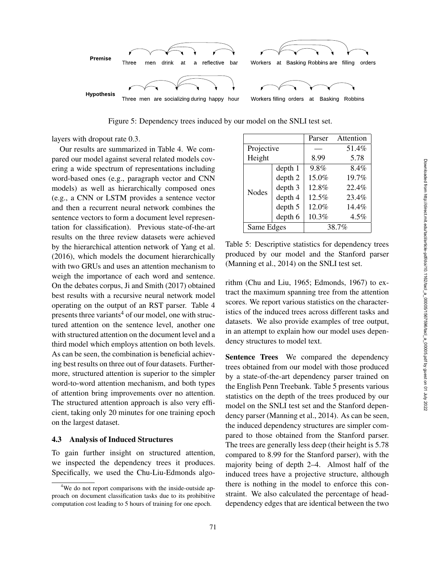

Figure 5: Dependency trees induced by our model on the SNLI test set.

layers with dropout rate 0.3.

Our results are summarized in Table 4. We compared our model against several related models covering a wide spectrum of representations including word-based ones (e.g., paragraph vector and CNN models) as well as hierarchically composed ones (e.g., a CNN or LSTM provides a sentence vector and then a recurrent neural network combines the sentence vectors to form a document level representation for classification). Previous state-of-the-art results on the three review datasets were achieved by the hierarchical attention network of Yang et al. (2016), which models the document hierarchically with two GRUs and uses an attention mechanism to weigh the importance of each word and sentence. On the debates corpus, Ji and Smith (2017) obtained best results with a recursive neural network model operating on the output of an RST parser. Table 4 presents three variants <sup>4</sup> of our model, one with structured attention on the sentence level, another one with structured attention on the document level and a third model which employs attention on both levels. As can be seen, the combination is beneficial achieving best results on three out of four datasets. Furthermore, structured attention is superior to the simpler word-to-word attention mechanism, and both types of attention bring improvements over no attention. The structured attention approach is also very efficient, taking only 20 minutes for one training epoch on the largest dataset.

#### 4.3 Analysis of Induced Structures

To gain further insight on structured attention, we inspected the dependency trees it produces. Specifically, we used the Chu-Liu-Edmonds algo-

|              |         | Parser | Attention |
|--------------|---------|--------|-----------|
| Projective   |         |        | 51.4%     |
| Height       |         | 8.99   | 5.78      |
| <b>Nodes</b> | depth 1 | 9.8%   | 8.4%      |
|              | depth 2 | 15.0%  | 19.7%     |
|              | depth 3 | 12.8%  | 22.4%     |
|              | depth 4 | 12.5%  | 23.4%     |
|              | depth 5 | 12.0%  | 14.4%     |
|              | depth 6 | 10.3%  | $4.5\%$   |
| Same Edges   |         | 38.7%  |           |

Table 5: Descriptive statistics for dependency trees produced by our model and the Stanford parser (Manning et al., 2014) on the SNLI test set.

rithm (Chu and Liu, 1965; Edmonds, 1967) to extract the maximum spanning tree from the attention scores. We report various statistics on the characteristics of the induced trees across different tasks and datasets. We also provide examples of tree output, in an attempt to explain how our model uses dependency structures to model text.

Sentence Trees We compared the dependency trees obtained from our model with those produced by a state-of-the-art dependency parser trained on the English Penn Treebank. Table 5 presents various statistics on the depth of the trees produced by our model on the SNLI test set and the Stanford dependency parser (Manning et al., 2014). As can be seen, the induced dependency structures are simpler compared to those obtained from the Stanford parser. The trees are generally less deep (their height is 5.78 compared to 8.99 for the Stanford parser), with the majority being of depth 2–4. Almost half of the induced trees have a projective structure, although there is nothing in the model to enforce this constraint. We also calculated the percentage of headdependency edges that are identical between the two

<sup>&</sup>lt;sup>4</sup>We do not report comparisons with the inside-outside approach on document classification tasks due to its prohibitive computation cost leading to 5 hours of training for one epoch.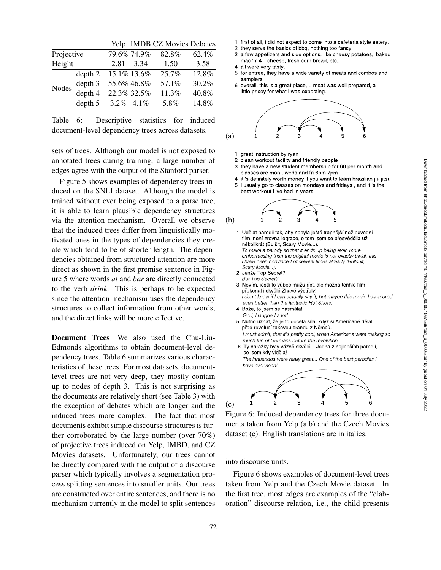|              |         | Yelp IMDB CZ Movies Debates |       |       |
|--------------|---------|-----------------------------|-------|-------|
| Projective   |         | 79.6% 74.9%                 | 82.8% | 62.4% |
| Height       |         | 2.81 3.34                   | 1.50  | 3.58  |
| <b>Nodes</b> | depth 2 | 15.1% 13.6%                 | 25.7% | 12.8% |
|              | depth 3 | 55.6% 46.8%                 | 57.1% | 30.2% |
|              | depth 4 | 22.3% 32.5%                 | 11.3% | 40.8% |
|              | depth 5 | $3.2\%$ 4.1%                | 5.8%  | 14.8% |

Table 6: Descriptive statistics for induced document-level dependency trees across datasets.

sets of trees. Although our model is not exposed to annotated trees during training, a large number of edges agree with the output of the Stanford parser.

Figure 5 shows examples of dependency trees induced on the SNLI dataset. Although the model is trained without ever being exposed to a parse tree, it is able to learn plausible dependency structures via the attention mechanism. Overall we observe that the induced trees differ from linguistically motivated ones in the types of dependencies they create which tend to be of shorter length. The dependencies obtained from structured attention are more direct as shown in the first premise sentence in Figure 5 where words *at* and *bar* are directly connected to the verb *drink*. This is perhaps to be expected since the attention mechanism uses the dependency structures to collect information from other words, and the direct links will be more effective.

Document Trees We also used the Chu-Liu-Edmonds algorithms to obtain document-level dependency trees. Table 6 summarizes various characteristics of these trees. For most datasets, documentlevel trees are not very deep, they mostly contain up to nodes of depth 3. This is not surprising as the documents are relatively short (see Table 3) with the exception of debates which are longer and the induced trees more complex. The fact that most documents exhibit simple discourse structures is further corroborated by the large number (over 70%) of projective trees induced on Yelp, IMBD, and CZ Movies datasets. Unfortunately, our trees cannot be directly compared with the output of a discourse parser which typically involves a segmentation process splitting sentences into smaller units. Our trees are constructed over entire sentences, and there is no mechanism currently in the model to split sentences

- 1 first of all, i did not expect to come into a cafeteria style eatery.
- 2 they serve the basics of bbq, nothing too fancy.
- 3 a few appetizers and side options, like cheesy potatoes, baked mac 'n' 4 cheese, fresh corn bread, etc..
- 4 all were very tasty.
- 5 for entree, they have a wide variety of meats and combos and samplers.
- 6 overall, this is a great place,... meat was well prepared, a little pricey for what i was expecting.



- 1 great instruction by ryan
- 2 clean workout facility and friendly people
- 3 they have a new student membership for 60 per month and classes are mon , weds and fri 6pm 7pm
- 4 it 's definitely worth money if you want to learn brazilian jiu jitsu 5 i usually go to classes on mondays and fridays , and it 's the
- best workout i 've had in years

(b) 
$$
\frac{1}{2}
$$
  $\frac{1}{3}$ 



Figure 6: Induced dependency trees for three documents taken from Yelp (a,b) and the Czech Movies dataset (c). English translations are in italics.

1 2 3 4 5 6

into discourse units.

(c)

Figure 6 shows examples of document-level trees taken from Yelp and the Czech Movie dataset. In the first tree, most edges are examples of the "elaboration" discourse relation, i.e., the child presents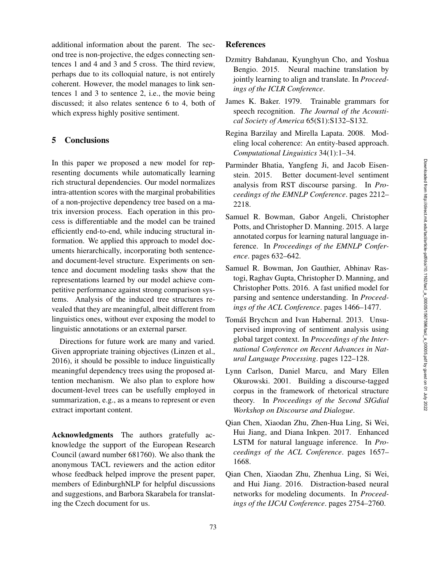additional information about the parent. The second tree is non-projective, the edges connecting sentences 1 and 4 and 3 and 5 cross. The third review, perhaps due to its colloquial nature, is not entirely coherent. However, the model manages to link sentences 1 and 3 to sentence 2, i.e., the movie being discussed; it also relates sentence 6 to 4, both of which express highly positive sentiment.

# 5 Conclusions

In this paper we proposed a new model for representing documents while automatically learning rich structural dependencies. Our model normalizes intra-attention scores with the marginal probabilities of a non-projective dependency tree based on a matrix inversion process. Each operation in this process is differentiable and the model can be trained efficiently end-to-end, while inducing structural information. We applied this approach to model documents hierarchically, incorporating both sentenceand document-level structure. Experiments on sentence and document modeling tasks show that the representations learned by our model achieve competitive performance against strong comparison systems. Analysis of the induced tree structures revealed that they are meaningful, albeit different from linguistics ones, without ever exposing the model to linguistic annotations or an external parser.

Directions for future work are many and varied. Given appropriate training objectives (Linzen et al., 2016), it should be possible to induce linguistically meaningful dependency trees using the proposed attention mechanism. We also plan to explore how document-level trees can be usefully employed in summarization, e.g., as a means to represent or even extract important content.

Acknowledgments The authors gratefully acknowledge the support of the European Research Council (award number 681760). We also thank the anonymous TACL reviewers and the action editor whose feedback helped improve the present paper, members of EdinburghNLP for helpful discussions and suggestions, and Barbora Skarabela for translating the Czech document for us.

# References

- Dzmitry Bahdanau, Kyunghyun Cho, and Yoshua Bengio. 2015. Neural machine translation by jointly learning to align and translate. In *Proceedings of the ICLR Conference*.
- James K. Baker. 1979. Trainable grammars for speech recognition. *The Journal of the Acoustical Society of America* 65(S1):S132–S132.
- Regina Barzilay and Mirella Lapata. 2008. Modeling local coherence: An entity-based approach. *Computational Linguistics* 34(1):1–34.
- Parminder Bhatia, Yangfeng Ji, and Jacob Eisenstein. 2015. Better document-level sentiment analysis from RST discourse parsing. In *Proceedings of the EMNLP Conference*. pages 2212– 2218.
- Samuel R. Bowman, Gabor Angeli, Christopher Potts, and Christopher D. Manning. 2015. A large annotated corpus for learning natural language inference. In *Proceedings of the EMNLP Conference*. pages 632–642.
- Samuel R. Bowman, Jon Gauthier, Abhinav Rastogi, Raghav Gupta, Christopher D. Manning, and Christopher Potts. 2016. A fast unified model for parsing and sentence understanding. In *Proceedings of the ACL Conference*. pages 1466–1477.
- Tomáš Brychcın and Ivan Habernal. 2013. Unsupervised improving of sentiment analysis using global target context. In *Proceedings of the International Conference on Recent Advances in Natural Language Processing*. pages 122–128.
- Lynn Carlson, Daniel Marcu, and Mary Ellen Okurowski. 2001. Building a discourse-tagged corpus in the framework of rhetorical structure theory. In *Proceedings of the Second SIGdial Workshop on Discourse and Dialogue* .
- Qian Chen, Xiaodan Zhu, Zhen-Hua Ling, Si Wei, Hui Jiang, and Diana Inkpen. 2017. Enhanced LSTM for natural language inference. In *Proceedings of the ACL Conference*. pages 1657– 1668.
- Qian Chen, Xiaodan Zhu, Zhenhua Ling, Si Wei, and Hui Jiang. 2016. Distraction-based neural networks for modeling documents. In *Proceedings of the IJCAI Conference*. pages 2754–2760.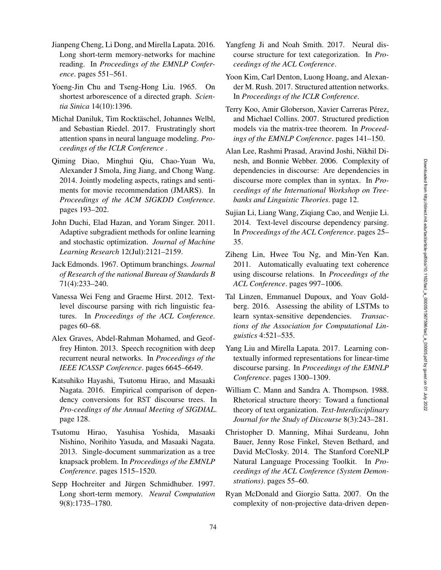- Jianpeng Cheng, Li Dong, and Mirella Lapata. 2016. Long short-term memory-networks for machine reading. In *Proceedings of the EMNLP Conference*. pages 551–561.
- Yoeng-Jin Chu and Tseng-Hong Liu. 1965. On shortest arborescence of a directed graph. *Scientia Sinica* 14(10):1396.
- Michał Daniluk, Tim Rocktäschel, Johannes Welbl, and Sebastian Riedel. 2017. Frustratingly short attention spans in neural language modeling. *Proceedings of the ICLR Conference* .
- Qiming Diao, Minghui Qiu, Chao-Yuan Wu, Alexander J Smola, Jing Jiang, and Chong Wang. 2014. Jointly modeling aspects, ratings and sentiments for movie recommendation (JMARS). In *Proceedings of the ACM SIGKDD Conference* . pages 193–202.
- John Duchi, Elad Hazan, and Yoram Singer. 2011. Adaptive subgradient methods for online learning and stochastic optimization. *Journal of Machine Learning Research* 12(Jul):2121–2159.
- Jack Edmonds. 1967. Optimum branchings. *Journal of Research of the national Bureau of Standards B* 71(4):233–240.
- Vanessa Wei Feng and Graeme Hirst. 2012. Textlevel discourse parsing with rich linguistic features. In *Proceedings of the ACL Conference*. pages 60–68.
- Alex Graves, Abdel-Rahman Mohamed, and Geoffrey Hinton. 2013. Speech recognition with deep recurrent neural networks. In *Proceedings of the IEEE ICASSP Conference*. pages 6645–6649.
- Katsuhiko Hayashi, Tsutomu Hirao, and Masaaki Nagata. 2016. Empirical comparison of dependency conversions for RST discourse trees. In *Pro-ceedings of the Annual Meeting of SIGDIAL* . page 128.
- Tsutomu Hirao, Yasuhisa Yoshida, Masaaki Nishino, Norihito Yasuda, and Masaaki Nagata. 2013. Single-document summarization as a tree knapsack problem. In *Proceedings of the EMNLP Conference*. pages 1515–1520.
- Sepp Hochreiter and Jürgen Schmidhuber. 1997. Long short-term memory. *Neural Computation* 9(8):1735–1780.
- Yangfeng Ji and Noah Smith. 2017. Neural discourse structure for text categorization. In *Proceedings of the ACL Conference*.
- Yoon Kim, Carl Denton, Luong Hoang, and Alexander M. Rush. 2017. Structured attention networks. In *Proceedings of the ICLR Conference* .
- Terry Koo, Amir Globerson, Xavier Carreras Pérez, and Michael Collins. 2007. Structured prediction models via the matrix-tree theorem. In *Proceedings of the EMNLP Conference*. pages 141–150.
- Alan Lee, Rashmi Prasad, Aravind Joshi, Nikhil Dinesh, and Bonnie Webber. 2006. Complexity of dependencies in discourse: Are dependencies in discourse more complex than in syntax. In *Proceedings of the International Workshop on Treebanks and Linguistic Theories*. page 12.
- Sujian Li, Liang Wang, Ziqiang Cao, and Wenjie Li. 2014. Text-level discourse dependency parsing. In *Proceedings of the ACL Conference*. pages 25– 35.
- Ziheng Lin, Hwee Tou Ng, and Min-Yen Kan. 2011. Automatically evaluating text coherence using discourse relations. In *Proceedings of the ACL Conference*. pages 997–1006.
- Tal Linzen, Emmanuel Dupoux, and Yoav Goldberg. 2016. Assessing the ability of LSTMs to learn syntax-sensitive dependencies. *Transactions of the Association for Computational Linguistics* 4:521–535.
- Yang Liu and Mirella Lapata. 2017. Learning contextually informed representations for linear-time discourse parsing. In *Proceedings of the EMNLP Conference*. pages 1300–1309.
- William C. Mann and Sandra A. Thompson. 1988. Rhetorical structure theory: Toward a functional theory of text organization. *Text-Interdisciplinary Journal for the Study of Discourse* 8(3):243–281.
- Christopher D. Manning, Mihai Surdeanu, John Bauer, Jenny Rose Finkel, Steven Bethard, and David McClosky. 2014. The Stanford CoreNLP Natural Language Processing Toolkit. In *Proceedings of the ACL Conference (System Demonstrations)*. pages 55–60.
- Ryan McDonald and Giorgio Satta. 2007. On the complexity of non-projective data-driven depen-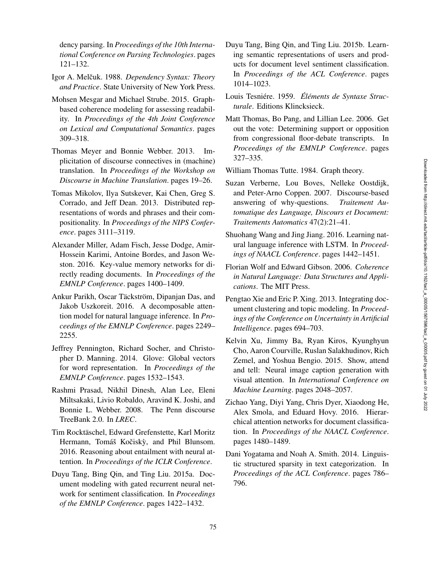dency parsing. In *Proceedings of the 10th International Conference on Parsing Technologies*. pages 121–132.

- Igor A. Melčuk. 1988. Dependency Syntax: Theory *and Practice*. State University of New York Press.
- Mohsen Mesgar and Michael Strube. 2015. Graphbased coherence modeling for assessing readability. In *Proceedings of the 4th Joint Conference on Lexical and Computational Semantics*. pages 309–318.
- Thomas Meyer and Bonnie Webber. 2013. Implicitation of discourse connectives in (machine) translation. In *Proceedings of the Workshop on Discourse in Machine Translation*. pages 19–26.
- Tomas Mikolov, Ilya Sutskever, Kai Chen, Greg S. Corrado, and Jeff Dean. 2013. Distributed representations of words and phrases and their compositionality. In *Proceedings of the NIPS Conference*. pages 3111–3119.
- Alexander Miller, Adam Fisch, Jesse Dodge, Amir-Hossein Karimi, Antoine Bordes, and Jason Weston. 2016. Key-value memory networks for directly reading documents. In *Proceedings of the EMNLP Conference*. pages 1400–1409.
- Ankur Parikh, Oscar Täckström, Dipanjan Das, and Jakob Uszkoreit. 2016. A decomposable attention model for natural language inference. In *Proceedings of the EMNLP Conference*. pages 2249– 2255.
- Jeffrey Pennington, Richard Socher, and Christopher D. Manning. 2014. Glove: Global vectors for word representation. In *Proceedings of the EMNLP Conference*. pages 1532–1543.
- Rashmi Prasad, Nikhil Dinesh, Alan Lee, Eleni Miltsakaki, Livio Robaldo, Aravind K. Joshi, and Bonnie L. Webber. 2008. The Penn discourse TreeBank 2.0. In *LREC* .
- Tim Rocktäschel, Edward Grefenstette, Karl Moritz Hermann, Tomáš Kočiskỳ, and Phil Blunsom. 2016. Reasoning about entailment with neural attention. In *Proceedings of the ICLR Conference*.
- Duyu Tang, Bing Qin, and Ting Liu. 2015a. Document modeling with gated recurrent neural network for sentiment classification. In *Proceedings of the EMNLP Conference*. pages 1422–1432.
- Duyu Tang, Bing Qin, and Ting Liu. 2015b. Learning semantic representations of users and products for document level sentiment classification. In *Proceedings of the ACL Conference*. pages 1014–1023.
- Louis Tesniére. 1959. Éléments de Syntaxe Struc*turale*. Editions Klincksieck.
- Matt Thomas, Bo Pang, and Lillian Lee. 2006. Get out the vote: Determining support or opposition from congressional floor-debate transcripts. In *Proceedings of the EMNLP Conference*. pages 327–335.
- William Thomas Tutte. 1984. Graph theory.
- Suzan Verberne, Lou Boves, Nelleke Oostdijk, and Peter-Arno Coppen. 2007. Discourse-based answering of why-questions. *Traitement Automatique des Language, Discours et Document: Traitements Automatics* 47(2):21–41.
- Shuohang Wang and Jing Jiang. 2016. Learning natural language inference with LSTM. In *Proceedings of NAACL Conference*. pages 1442–1451.
- Florian Wolf and Edward Gibson. 2006. *Coherence in Natural Language: Data Structures and Applications*. The MIT Press.
- Pengtao Xie and Eric P. Xing. 2013. Integrating document clustering and topic modeling. In *Proceedings of the Conference on Uncertainty in Artificial Intelligence*. pages 694–703.
- Kelvin Xu, Jimmy Ba, Ryan Kiros, Kyunghyun Cho, Aaron Courville, Ruslan Salakhudinov, Rich Zemel, and Yoshua Bengio. 2015. Show, attend and tell: Neural image caption generation with visual attention. In *International Conference on Machine Learning*. pages 2048–2057.
- Zichao Yang, Diyi Yang, Chris Dyer, Xiaodong He, Alex Smola, and Eduard Hovy. 2016. Hierarchical attention networks for document classification. In *Proceedings of the NAACL Conference*. pages 1480–1489.
- Dani Yogatama and Noah A. Smith. 2014. Linguistic structured sparsity in text categorization. In *Proceedings of the ACL Conference*. pages 786– 796.